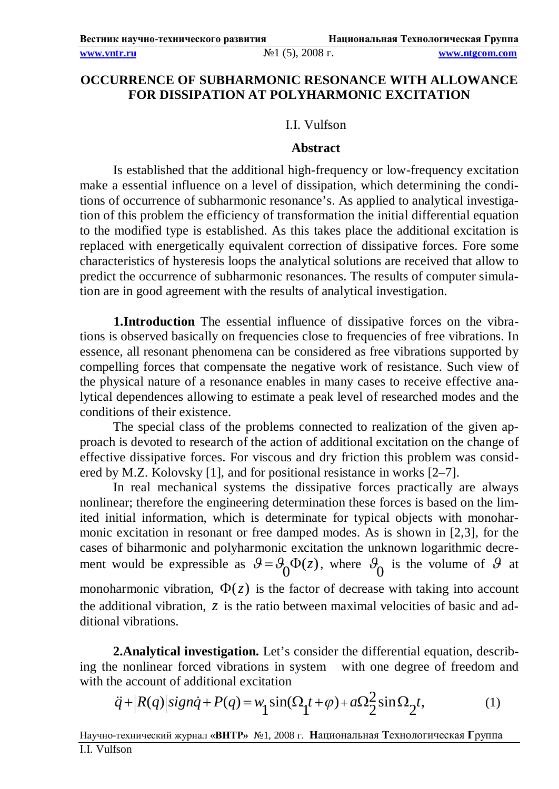**www.vntr.ru** №1 (5), 2008 г. **www.ntgcom.com**

# **OCCURRENCE OF SUBHARMONIC RESONANCE WITH ALLOWANCE FOR DISSIPATION AT POLYHARMONIC EXCITATION**

## I.I. Vulfson

### **Abstract**

Is established that the additional high-frequency or low-frequency excitation make a essential influence on a level of dissipation, which determining the conditions of occurrence of subharmonic resonance's. As applied to analytical investigation of this problem the efficiency of transformation the initial differential equation to the modified type is established. As this takes place the additional excitation is replaced with energetically equivalent correction of dissipative forces. Fore some characteristics of hysteresis loops the analytical solutions are received that allow to predict the occurrence of subharmonic resonances. The results of computer simulation are in good agreement with the results of analytical investigation.

**1.Introduction** The essential influence of dissipative forces on the vibrations is observed basically on frequencies close to frequencies of free vibrations. In essence, all resonant phenomena can be considered as free vibrations supported by compelling forces that compensate the negative work of resistance. Such view of the physical nature of a resonance enables in many cases to receive effective analytical dependences allowing to estimate a peak level of researched modes and the conditions of their existence.

The special class of the problems connected to realization of the given approach is devoted to research of the action of additional excitation on the change of effective dissipative forces. For viscous and dry friction this problem was considered by M.Z. Kolovsky [1], and for positional resistance in works [2–7].

In real mechanical systems the dissipative forces practically are always nonlinear; therefore the engineering determination these forces is based on the limited initial information, which is determinate for typical objects with monoharmonic excitation in resonant or free damped modes. As is shown in [2,3], for the cases of biharmonic and polyharmonic excitation the unknown logarithmic decrement would be expressible as  $\theta = \theta_0 \Phi(z)$  $\overline{0}$  $\mathcal{G} = \mathcal{G}_{\Omega} \Phi(z)$ , where  $\overline{0}$  $\mathcal{G}_{\Omega}$  is the volume of  $\mathcal{G}$  at monoharmonic vibration,  $\Phi(z)$  is the factor of decrease with taking into account the additional vibration, *z* is the ratio between maximal velocities of basic and additional vibrations.

**2.Analytical investigation.** Let's consider the differential equation, describing the nonlinear forced vibrations in system with one degree of freedom and with the account of additional excitation

$$
\ddot{q} + |R(q)|sign\dot{q} + P(q) = w_1 sin(\Omega_1 t + \varphi) + a\Omega_2^2 sin\Omega_2 t,
$$
\n(1)

Научно-технический журнал **«ВНТР»** №1, 2008 г. **Н**ациональная **Т**ехнологическая **Г**руппа I.I. Vulfson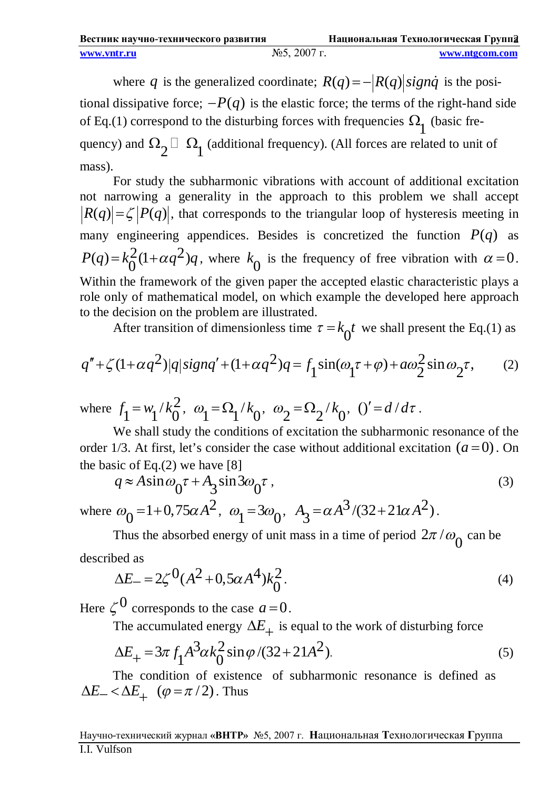where *q* is the generalized coordinate;  $R(q) = -|R(q)|$  *signq* is the positional dissipative force;  $-P(q)$  is the elastic force; the terms of the right-hand side of Eq.(1) correspond to the disturbing forces with frequencies  $\Omega_1$  $\Omega_1$  (basic frequency) and  $\Omega_2 \Box \Omega_1$  $\Omega_{\Omega} \square \Omega_1$  (additional frequency). (All forces are related to unit of mass).

For study the subharmonic vibrations with account of additional excitation not narrowing a generality in the approach to this problem we shall accept  $|R(q)| = \zeta |P(q)|$ , that corresponds to the triangular loop of hysteresis meeting in many engineering appendices. Besides is concretized the function  $P(q)$  as  $(q) = k_0^2 (1 + \alpha q^2)$ 0  $P(q) = k_0^2 (1 + \alpha q^2) q$ , where  $\boldsymbol{0}$  $k_0$  is the frequency of free vibration with  $\alpha = 0$ . Within the framework of the given paper the accepted elastic characteristic plays a role only of mathematical model, on which example the developed here approach to the decision on the problem are illustrated.

After transition of dimensionless time  $\tau = k_0$  $\tau = k_0 t$  we shall present the Eq.(1) as

$$
q'' + \zeta (1 + \alpha q^2) |q| \operatorname{sign} q' + (1 + \alpha q^2) q = f_1 \sin(\omega_1 \tau + \varphi) + a \omega_2^2 \sin \omega_2 \tau, \qquad (2)
$$

where  $f_1 = w_1 / k_0^2$  $1 - \frac{w_1}{2}$  0  $f_1 = w_1 / k_0^2$ ,  $\omega_1 = \Omega_1 / k_0^2$  $1 - \frac{2}{1}$   $\binom{1}{0}$  $\omega_1 = \Omega_1 / k_0$ ,  $\omega_2 = \Omega_2 / k_1$  $2^{-32}2'$   $^{\prime}$  0  $\omega_2 = \Omega_2 / k_0$ ,  $\left(\frac{d}{d\tau}\right)$ .

We shall study the conditions of excitation the subharmonic resonance of the order 1/3. At first, let's consider the case without additional excitation  $(a=0)$ . On the basic of Eq. $(2)$  we have [8]

$$
q \approx A \sin \omega_0 \tau + A_3 \sin 3\omega_0 \tau ,
$$
  
where  $\omega_0 = 1 + 0, 75\alpha A^2$ ,  $\omega_1 = 3\omega_0$ ,  $A_3 = \alpha A^3 / (32 + 21\alpha A^2)$ . (3)

Thus the absorbed energy of unit mass in a time of period  $2\pi /$  $\pi/\omega_0^{\,}$  can be described as

$$
\Delta E_{-} = 2\zeta^{0}(A^{2} + 0.5\alpha A^{4})k_{0}^{2}.
$$
\n(4)

Here  $\zeta^0$  corresponds to the case  $a=0$ .

The accumulated energy  $\Delta E_+$  is equal to the work of disturbing force

$$
\Delta E_{+} = 3\pi f_1 A^3 \alpha k_0^2 \sin \varphi / (32 + 21A^2). \tag{5}
$$

The condition of existence of subharmonic resonance is defined as  $\Delta E_{-}$  <  $\Delta E_{+}$  ( $\varphi$  =  $\pi$  / 2). Thus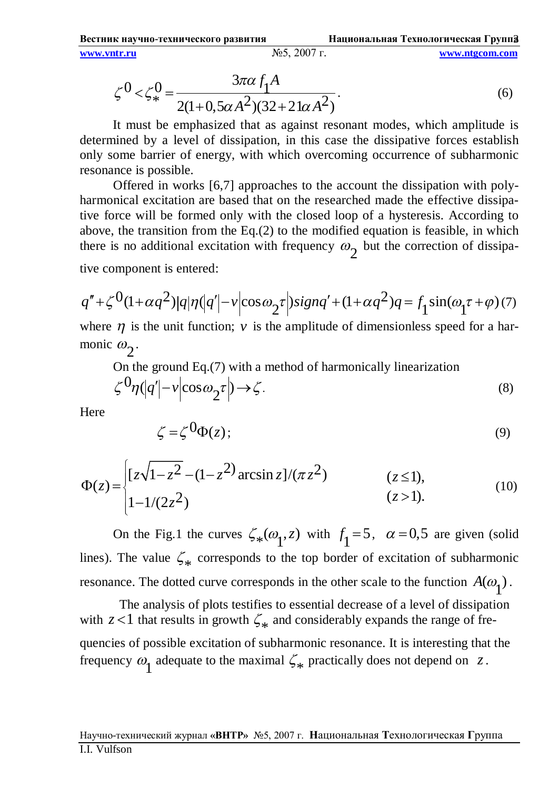**Вестник научно-технического развития Национальная Технологическая Группа** 3 **www.vntr.ru** №5, 2007 г. **www.ntgcom.com**

$$
\zeta^{0} < \zeta_{*}^{0} = \frac{3\pi\alpha f_{1}A}{2(1+0.5\alpha A^{2})(32+21\alpha A^{2})}.
$$
\n(6)

It must be emphasized that as against resonant modes, which amplitude is determined by a level of dissipation, in this case the dissipative forces establish only some barrier of energy, with which overcoming occurrence of subharmonic resonance is possible.

Offered in works [6,7] approaches to the account the dissipation with polyharmonical excitation are based that on the researched made the effective dissipative force will be formed only with the closed loop of a hysteresis. According to above, the transition from the Eq.(2) to the modified equation is feasible, in which there is no additional excitation with frequency  $\omega_2$  but the correction of dissipa-

tive component is entered:

$$
q'' + \zeta^{0}(1+\alpha q^{2})|q|\eta(|q'| - v|\cos\omega_{2}\tau|)signq' + (1+\alpha q^{2})q = f_{1}sin(\omega_{1}\tau + \varphi)(7)
$$

where  $\eta$  is the unit function; *v* is the amplitude of dimensionless speed for a harmonic  $\omega_2$ .

On the ground Eq.(7) with a method of harmonically linearization  ${}^0\eta\langle |q'|\rangle - v|\cos\omega_2\tau| \rightarrow \zeta$ . 2  $\zeta^{0}\eta(q') - v|\cos\omega_{2}\tau| \rightarrow \zeta$ . (8)

Here

$$
\zeta = \zeta^0 \Phi(z); \tag{9}
$$

$$
\Phi(z) = \begin{cases} [z\sqrt{1-z^2} - (1-z^2)\arcsin z]/(\pi z^2) & (z \le 1), \\ 1 - 1/(2z^2) & (z > 1). \end{cases}
$$
(10)

On the Fig.1 the curves  $\zeta_*(\omega_1, z)$  $*$ <sup>( $\omega$ </sup>1  $\zeta_*(\omega_1, z)$  with  $f_1 = 5$ 1  $f_1 = 5$ ,  $\alpha = 0.5$  are given (solid lines). The value  $\zeta_*$  $\zeta_*$  corresponds to the top border of excitation of subharmonic resonance. The dotted curve corresponds in the other scale to the function  $A(\omega_1)$ 1  $A(\omega_1)$ .

The analysis of plots testifies to essential decrease of a level of dissipation with  $z < 1$  that results in growth \*  $\zeta_*$  and considerably expands the range of frequencies of possible excitation of subharmonic resonance. It is interesting that the frequency  $\omega_1$  adequate to the maximal  $\zeta_*$  $\zeta_*$  practically does not depend on *z*.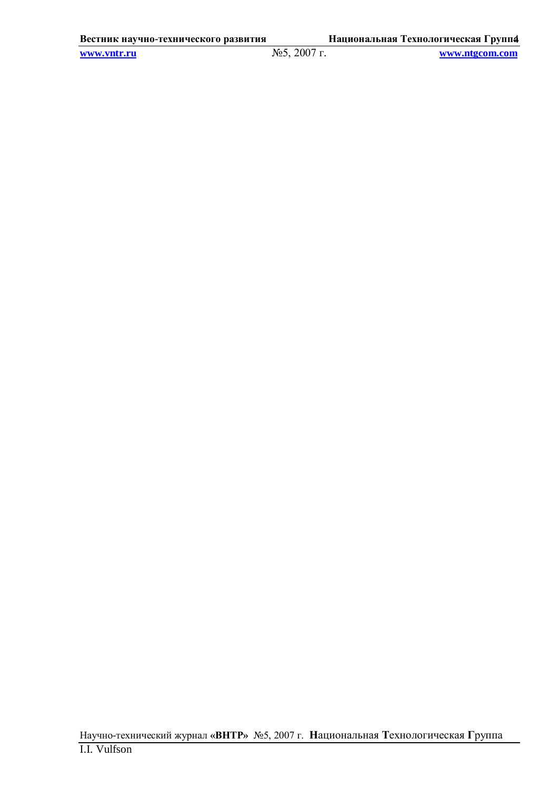**www.vntr.ru** №5, 2007 г. **www.ntgcom.com**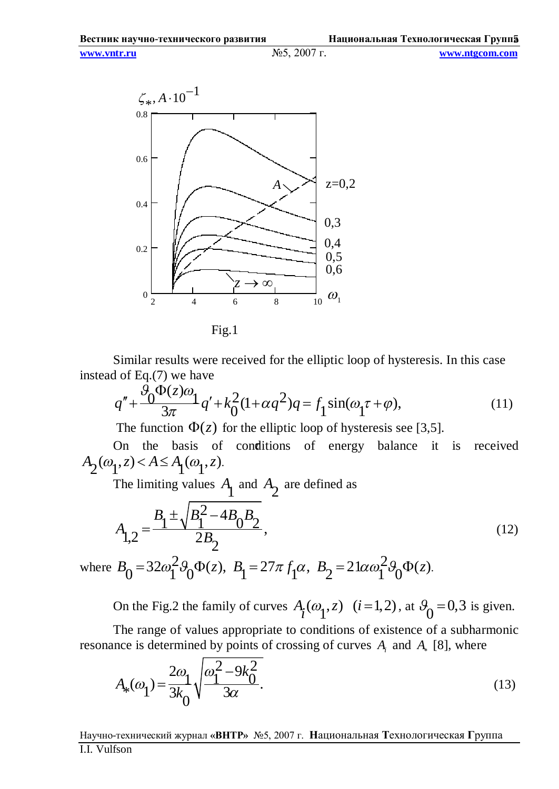**www.vntr.ru** №5, 2007 г. **www.ntgcom.com**



Fig.1

Similar results were received for the elliptic loop of hysteresis. In this case instead of Eq.(7) we have

$$
q'' + \frac{\partial_0 \Phi(z)\omega_1}{3\pi} q' + k_0^2 (1 + \alpha q^2) q = f_1 \sin(\omega_1 \tau + \varphi), \tag{11}
$$

The function  $\Phi(z)$  for the elliptic loop of hysteresis see [3,5].

On the basis of conditions of energy balance it is received  $(\omega_1, z) < A \le A_1(\omega_1, z).$  $2^{(\omega_1,\omega_1+\cdots+\omega_n)}$  $A_2(\omega_1, z) < A \le A_1(\omega_1, z)$ 

The limiting values  $A_1$ *A* and 2  $A_{2}$  are defined as

$$
A_{1,2} = \frac{B_1 \pm \sqrt{B_1^2 - 4B_0 B_2}}{2B_2},
$$
\n(12)

where  $B_0 = 32\omega_1^2 \theta_0 \Phi(z)$ ,  $0^{-32\omega_1}$   $^0$  $B_0 = 32\omega_1^2 \mathcal{G}_0 \Phi(z), B_1 = 27\pi f_1 \alpha,$  $1^{-277}$  $B_1 = 27\pi f_1 \alpha$ ,  $B_2 = 21\alpha \omega_1^2 \theta_0 \Phi(z)$ .  $2^{-2}$   $\frac{\mu_{0}}{1}$   $\frac{\nu_{0}}{0}$  $B_2 = 21\alpha\omega_1^2 \theta_0 \Phi(z)$ 

On the Fig.2 the family of curves  $A_i(\omega_1, z)$ 1  $A_i(\omega_1, z)$  (*i*=1,2), at  $\theta_0 = 0,3$  $\overline{0}$  $\mathcal{G}_{\Omega} = 0.3$  is given.

The range of values appropriate to conditions of existence of a subharmonic resonance is determined by points of crossing of curves *A<sup>i</sup>* and *A* [8], where

$$
A_{*}(\omega_{1}) = \frac{2\omega_{1}}{3k_{0}} \sqrt{\frac{\omega_{1}^{2} - 9k_{0}^{2}}{3\alpha}}.
$$
\n(13)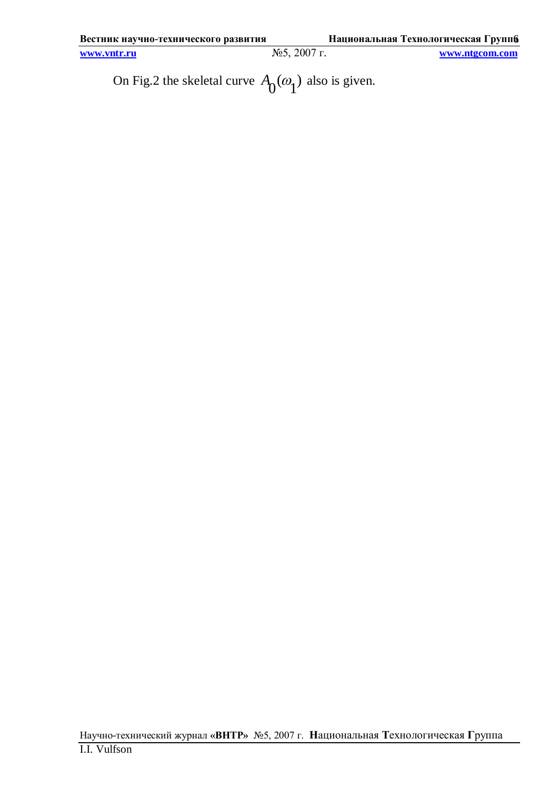On Fig.2 the skeletal curve  $A_{\Omega}(\omega_1)$  $0^{w_1}$  $A_{\Omega}(\omega_1)$  also is given.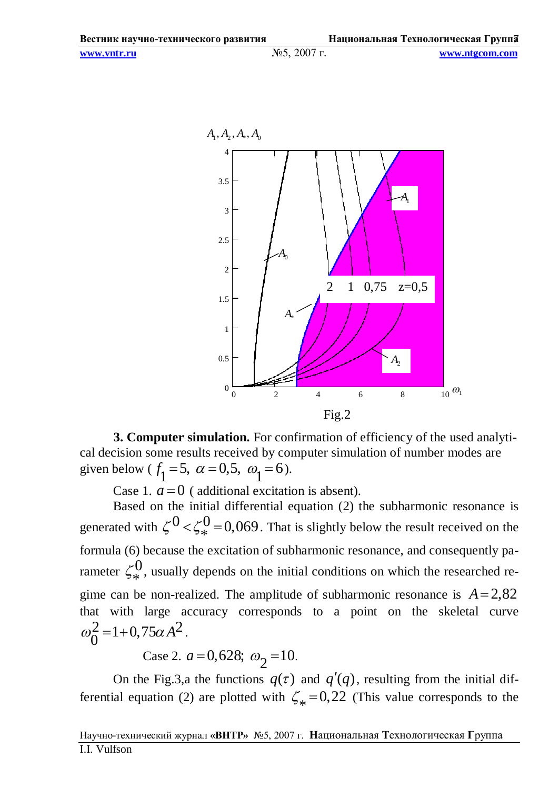**www.vntr.ru** №5, 2007 г. **www.ntgcom.com**



**3. Computer simulation.** For confirmation of efficiency of the used analytical decision some results received by computer simulation of number modes are given below ( $f_1 = 5$ , 1  $f_1 = 5$ ,  $\alpha = 0.5$ ,  $\omega_1 = 6$ 1  $\omega_1 = 6$ ).

Case 1.  $a = 0$  ( additional excitation is absent).

Based on the initial differential equation (2) the subharmonic resonance is generated with  $\zeta^{0} < \zeta_{*}^{0} = 0,069$ \*  $\zeta^0$  <  $\zeta_*^0$  = 0,069. That is slightly below the result received on the formula (6) because the excitation of subharmonic resonance, and consequently parameter  $\zeta_*^0$ \*  $\zeta_*^0$ , usually depends on the initial conditions on which the researched regime can be non-realized. The amplitude of subharmonic resonance is  $A = 2.82$ that with large accuracy corresponds to a point on the skeletal curve  $^{2}_{0}$  = 1 + 0,75 $\alpha$  A<sup>2</sup>  $\overline{0}$  $\omega_0^2 = 1 + 0.75 \alpha A^2$ .

Case 2.  $a = 0,628$ ;  $\omega_2 = 10$ . 2  $\omega_{\Omega} =$ 

On the Fig.3,a the functions  $q(\tau)$  and  $q'(q)$ , resulting from the initial differential equation (2) are plotted with  $\zeta_* = 0.22$ \*  $\zeta_* = 0.22$  (This value corresponds to the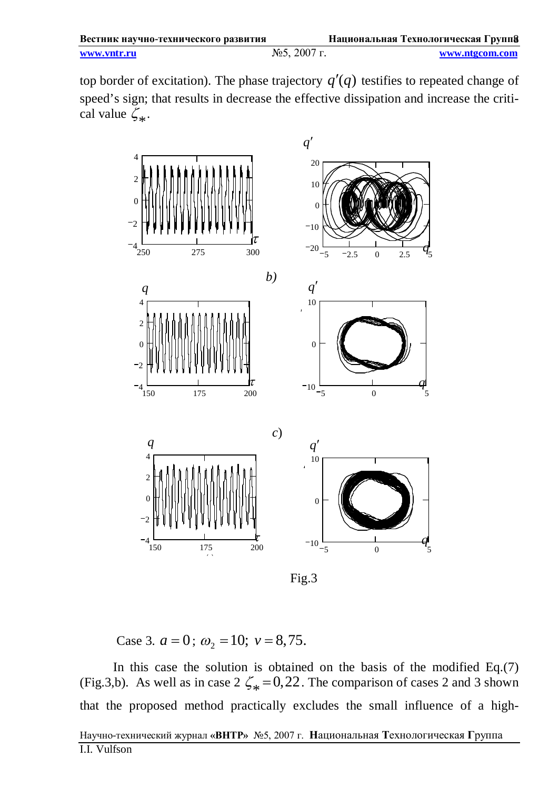| Вестник научно-технического развития |                 | Национальная Технологическая Групп $\bm{8}$ |
|--------------------------------------|-----------------|---------------------------------------------|
| www.vntr.ru                          | $N05$ , 2007 г. | www.ntgcom.com                              |

top border of excitation). The phase trajectory *q* (*q*) testifies to repeated change of speed's sign; that results in decrease the effective dissipation and increase the critical value  $\zeta_*$  $\zeta_*$  .



Fig.3

Case 3.  $a = 0$ ;  $\omega_2 = 10$ ;  $v = 8,75$ .

Научно-технический журнал **«ВНТР»** №5, 2007 г. **Н**ациональная **Т**ехнологическая **Г**руппа I.I. Vulfson In this case the solution is obtained on the basis of the modified Eq.(7) (Fig.3,b). As well as in case  $2 \zeta_* = 0.22$ \*  $\zeta_* = 0.22$ . The comparison of cases 2 and 3 shown that the proposed method practically excludes the small influence of a high-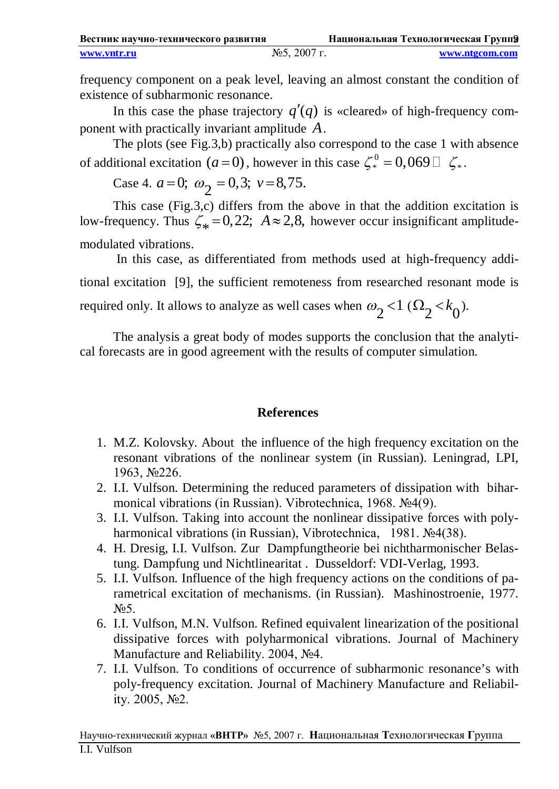| Вестник научно-технического развития |                 | Национальная Технологическая Группе |
|--------------------------------------|-----------------|-------------------------------------|
| www.vntr.ru                          | $N25$ , 2007 г. | www.ntgcom.com                      |

frequency component on a peak level, leaving an almost constant the condition of existence of subharmonic resonance.

In this case the phase trajectory  $q'(q)$  is «cleared» of high-frequency component with practically invariant amplitude *A*.

The plots (see Fig.3,b) practically also correspond to the case 1 with absence of additional excitation  $(a=0)$ , however in this case  $\zeta_*^0$  $\zeta_*^0 = 0,069 \Box \zeta_*$ .

Case 4.  $a = 0$ ;  $\omega_2 = 0, 3$ ; 2  $\omega_2 = 0.3; v = 8.75.$ 

This case (Fig.3,c) differs from the above in that the addition excitation is low-frequency. Thus  $\zeta_* = 0.22$ ; \*  $\zeta_* = 0.22$ ;  $A \approx 2.8$ , however occur insignificant amplitudemodulated vibrations.

In this case, as differentiated from methods used at high-frequency additional excitation [9], the sufficient remoteness from researched resonant mode is required only. It allows to analyze as well cases when  $\omega_2$  < 1 2  $\omega$ <sub>2</sub> <1 (  $2^{\sim}0$  $\Omega_{\Omega}$  <  $k_{\Omega}$ ).

The analysis a great body of modes supports the conclusion that the analytical forecasts are in good agreement with the results of computer simulation.

# **References**

- 1. M.Z. Kolovsky. About the influence of the high frequency excitation on the resonant vibrations of the nonlinear system (in Russian). Leningrad, LPI, 1963, №226.
- 2. I.I. Vulfson. Determining the reduced parameters of dissipation with biharmonical vibrations (in Russian). Vibrotechnica, 1968. №4(9).
- 3. I.I. Vulfson. Taking into account the nonlinear dissipative forces with polyharmonical vibrations (in Russian), Vibrotechnica, 1981. №4(38).
- 4. H. Dresig, I.I. Vulfson. Zur Dampfungtheorie bei nichtharmonischer Belastung. Dampfung und Nichtlinearitat . Dusseldorf: VDI-Verlag, 1993.
- 5. I.I. Vulfson. Influence of the high frequency actions on the conditions of parametrical excitation of mechanisms. (in Russian). Mashinostroenie, 1977. N<sup>o</sup> 5.
- 6. I.I. Vulfson, M.N. Vulfson. Refined equivalent linearization of the positional dissipative forces with polyharmonical vibrations. Journal of Machinery Manufacture and Reliability. 2004, №4.
- 7. I.I. Vulfson. To conditions of occurrence of subharmonic resonance's with poly-frequency excitation. Journal of Machinery Manufacture and Reliability. 2005, №2.